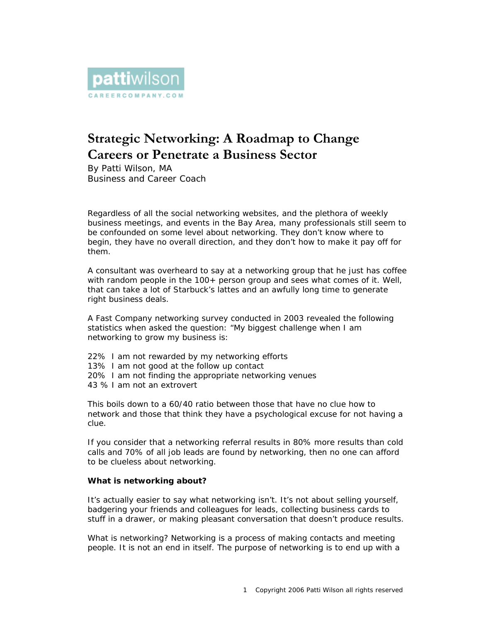

# **Strategic Networking: A Roadmap to Change Careers or Penetrate a Business Sector**

By Patti Wilson, MA Business and Career Coach

Regardless of all the social networking websites, and the plethora of weekly business meetings, and events in the Bay Area, many professionals still seem to be confounded on some level about networking. They don't know where to begin, they have no overall direction, and they don't how to make it pay off for them.

A consultant was overheard to say at a networking group that he just has coffee with random people in the 100+ person group and sees what comes of it. Well, that can take a lot of Starbuck's lattes and an awfully long time to generate right business deals.

A Fast Company networking survey conducted in 2003 revealed the following statistics when asked the question: "My biggest challenge when I am networking to grow my business is:

22% I am not rewarded by my networking efforts 13% I am not good at the follow up contact 20% I am not finding the appropriate networking venues 43 % I am not an extrovert

This boils down to a 60/40 ratio between those that have no clue how to network and those that think they have a psychological excuse for not having a clue.

If you consider that a networking referral results in 80% more results than cold calls and 70% of all job leads are found by networking, then no one can afford to be clueless about networking.

# *What is networking about?*

It's actually easier to say what networking isn't. It's not about selling yourself, badgering your friends and colleagues for leads, collecting business cards to stuff in a drawer, or making pleasant conversation that doesn't produce results.

What is networking? Networking is a process of making contacts and meeting people. It is not an end in itself. The purpose of networking is to end up with a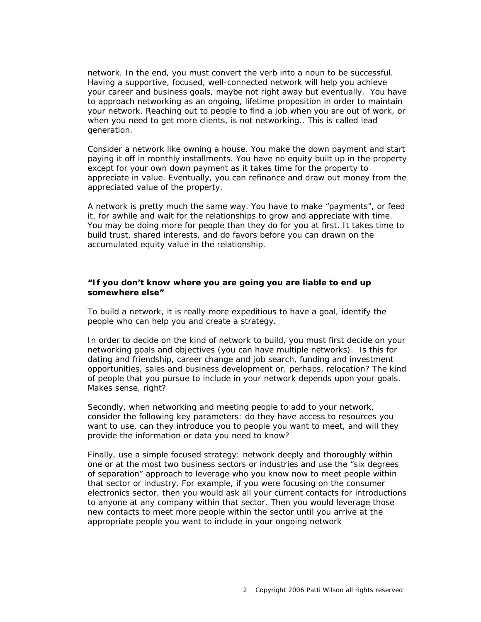network. In the end, you must convert the verb into a noun to be successful. Having a supportive, focused, well-connected *network* will help you achieve your career and business goals, maybe not right away but eventually. You have to approach networking as an ongoing, lifetime proposition in order to maintain your network. Reaching out to people to find a job when you are out of work, or when you need to get more clients, is not networking.. This is called lead generation.

Consider a network like owning a house. You make the down payment and start paying it off in monthly installments. You have no equity built up in the property except for your own down payment as it takes time for the property to appreciate in value. Eventually, you can refinance and draw out money from the appreciated value of the property.

A network is pretty much the same way. You have to make "payments", or feed it, for awhile and wait for the relationships to grow and appreciate with time. You may be doing more for people than they do for you at first. It takes time to build trust, shared interests, and do favors before you can drawn on the accumulated equity value in the relationship.

## *"If you don't know where you are going you are liable to end up somewhere else"*

To build a network, it is really more expeditious to have a goal, identify the people who can help you and create a strategy.

In order to decide on the kind of network to build, you must first decide on your networking goals and objectives (you can have multiple networks). Is this for dating and friendship, career change and job search, funding and investment opportunities, sales and business development or, perhaps, relocation? The kind of people that you pursue to include in your network depends upon your goals. Makes sense, right?

Secondly, when networking and meeting people to add to your network, consider the following key parameters: do they have access to resources you want to use, can they introduce you to people you want to meet, and will they provide the information or data you need to know?

Finally, use a simple focused strategy: network deeply and thoroughly within *one or at the most two* business sectors or industries and use the "six degrees of separation" approach to leverage who you know now to meet people within that sector or industry. For example, if you were focusing on the consumer electronics sector, then you would ask all your current contacts for introductions to *anyone* at any company within that sector. Then you would leverage those new contacts to meet more people within the sector until you arrive at the appropriate people you want to include in your ongoing network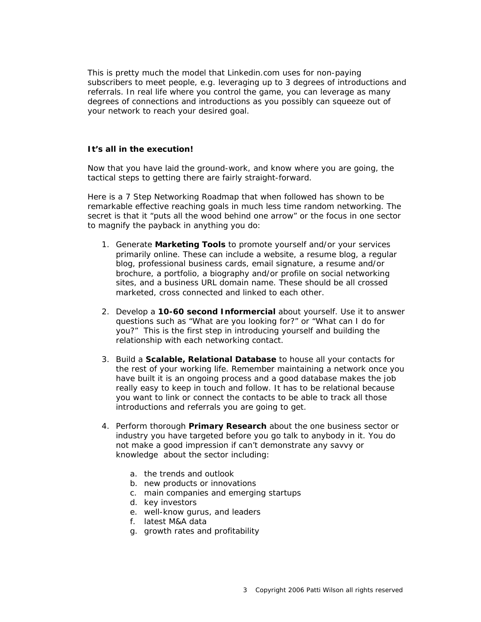This is pretty much the model that Linkedin.com uses for non-paying subscribers to meet people, e.g. leveraging up to 3 degrees of introductions and referrals. In real life where you control the game, you can leverage as many degrees of connections and introductions as you possibly can squeeze out of your network to reach your desired goal.

## *It's all in the execution!*

Now that you have laid the ground-work, and know where you are going, the tactical steps to getting there are fairly straight-forward.

Here is a 7 Step Networking Roadmap that when followed has shown to be remarkable effective reaching goals in much less time random networking. The secret is that it "puts all the wood behind one arrow" or the focus in one sector to magnify the payback in anything you do:

- 1. Generate **Marketing Tools** to promote yourself and/or your services primarily online. These can include a website, a resume blog, a regular blog, professional business cards, email signature, a resume and/or brochure, a portfolio, a biography and/or profile on social networking sites, and a business URL domain name. These should be all crossed marketed, cross connected and linked to each other.
- 2. Develop a **10-60 second Informercial** about yourself. Use it to answer questions such as "What are you looking for?" or "What can I do for you?" This is the first step in introducing yourself and building the relationship with each networking contact.
- 3. Build a **Scalable, Relational Database** to house all your contacts for the rest of your working life. Remember maintaining a network once you have built it is an ongoing process and a good database makes the job really easy to keep in touch and follow. It has to be relational because you want to link or connect the contacts to be able to track all those introductions and referrals you are going to get.
- 4. Perform thorough **Primary Research** about the *one business sector or industry* you have targeted before you go talk to anybody in it. You do not make a good impression if can't demonstrate any savvy or knowledge about the sector including:
	- a. the trends and outlook
	- b. new products or innovations
	- c. main companies and emerging startups
	- d. key investors
	- e. well-know gurus, and leaders
	- f. latest M&A data
	- g. growth rates and profitability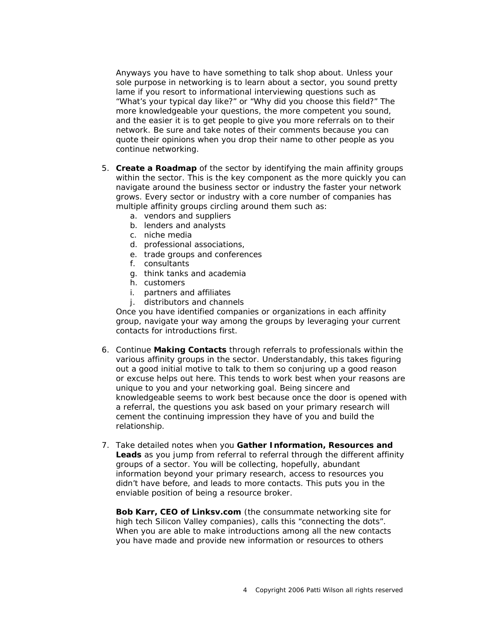Anyways you have to have something to talk shop about. Unless your sole purpose in networking is to learn about a sector, you sound pretty lame if you resort to informational interviewing questions such as "What's your typical day like?" or "Why did you choose this field?" The more knowledgeable your questions, the more competent you sound, and the easier it is to get people to give you more referrals on to their network. Be sure and take notes of their comments because you can quote their opinions when you drop their name to other people as you continue networking.

- 5. **Create a Roadmap** of the sector by identifying the main affinity groups within the sector. This is the key component as the more quickly you can navigate around the business sector or industry the faster your network grows. Every sector or industry with a core number of companies has multiple affinity groups circling around them such as:
	- a. vendors and suppliers
	- b. lenders and analysts
	- c. niche media
	- d. professional associations,
	- e. trade groups and conferences
	- f. consultants
	- g. think tanks and academia
	- h. customers
	- i. partners and affiliates
	- j. distributors and channels

Once you have identified companies or organizations in each affinity group, navigate your way among the groups by leveraging your current contacts for introductions first.

- 6. Continue **Making Contacts** through referrals to professionals within the various affinity groups in the sector. Understandably, this takes figuring out a good initial motive to talk to them so conjuring up a good reason or excuse helps out here. This tends to work best when your reasons are unique to you and your networking goal. Being sincere *and*  knowledgeable seems to work best because once the door is opened with a referral, the questions you ask based on your primary research will cement the continuing impression they have of you and build the relationship.
- 7. Take detailed notes when you **Gather Information, Resources and Leads** as you jump from referral to referral through the different affinity groups of a sector. You will be collecting, hopefully, abundant information beyond your primary research, access to resources you didn't have before, and leads to more contacts. This puts you in the enviable position of being a resource broker.

**Bob Karr, CEO of Linksv.com** (the consummate networking site for high tech Silicon Valley companies), calls this "connecting the dots". When you are able to make introductions among all the new contacts you have made and provide new information or resources to others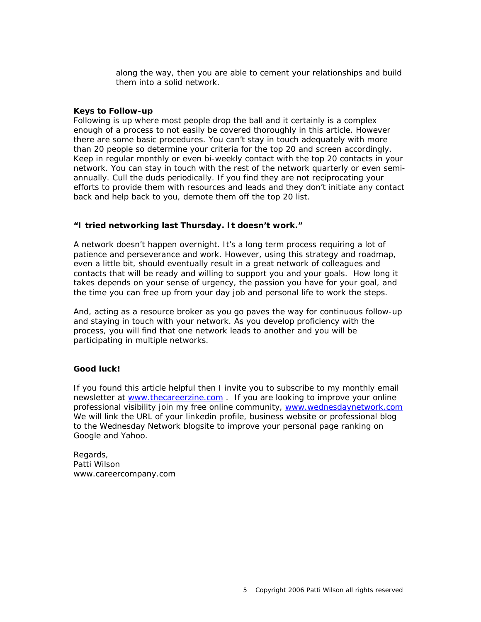along the way, then you are able to cement your relationships and build them into a solid network.

## *Keys to Follow-up*

Following is up where most people drop the ball and it certainly is a complex enough of a process to not easily be covered thoroughly in this article. However there are some basic procedures. You can't stay in touch adequately with more than 20 people so determine your criteria for the top 20 and screen accordingly. Keep in regular monthly or even bi-weekly contact with the top 20 contacts in your network. You can stay in touch with the rest of the network quarterly or even semiannually. Cull the duds periodically. If you find they are not reciprocating your efforts to provide them with resources and leads and they don't initiate any contact back and help back to you, demote them off the top 20 list.

## *"I tried networking last Thursday. It doesn't work."*

A network doesn't happen overnight. It's a long term process requiring a lot of patience and perseverance and work. However, using this strategy and roadmap, even a little bit, should eventually result in a great network of colleagues and contacts that will be ready and willing to support you and your goals. How long it takes depends on your sense of urgency, the passion you have for your goal, and the time you can free up from your day job and personal life to work the steps.

And, acting as a resource broker as you go paves the way for continuous follow-up and staying in touch with your network. As you develop proficiency with the process, you will find that one network leads to another and you will be participating in multiple networks.

# *Good luck!*

If you found this article helpful then I invite you to subscribe to my monthly email newsletter at www.thecareerzine.com . If you are looking to improve your online professional visibility join my free online community, www.wednesdaynetwork.com We will link the URL of your linkedin profile, business website or professional blog to the Wednesday Network blogsite to improve your personal page ranking on Google and Yahoo.

Regards, Patti Wilson www.careercompany.com